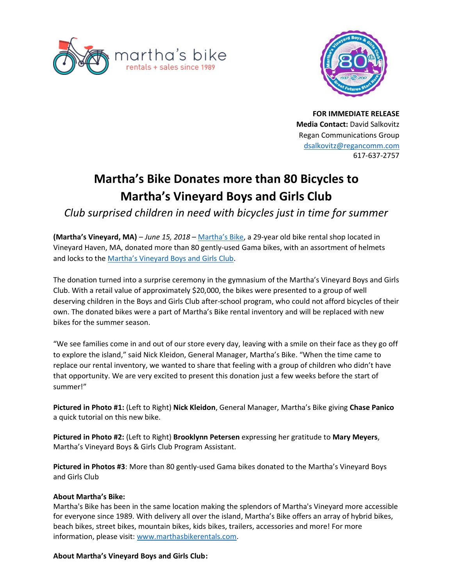



**FOR IMMEDIATE RELEASE Media Contact:** David Salkovitz Regan Communications Group [dsalkovitz@regancomm.com](mailto:dsalkovitz@regancomm.com) 617-637-2757

## **Martha's Bike Donates more than 80 Bicycles to Martha's Vineyard Boys and Girls Club**

*Club surprised children in need with bicycles just in time for summer* 

**(Martha's Vineyard, MA)** – *June 15, 2018* – [Martha's Bike](https://marthasbikerentals.com/), a 29-year old bike rental shop located in Vineyard Haven, MA, donated more than 80 gently-used Gama bikes, with an assortment of helmets and locks to the [Martha's Vineyard Boys and Girls Club](http://www.mvbgclub.org/).

The donation turned into a surprise ceremony in the gymnasium of the Martha's Vineyard Boys and Girls Club. With a retail value of approximately \$20,000, the bikes were presented to a group of well deserving children in the Boys and Girls Club after-school program, who could not afford bicycles of their own. The donated bikes were a part of Martha's Bike rental inventory and will be replaced with new bikes for the summer season.

"We see families come in and out of our store every day, leaving with a smile on their face as they go off to explore the island," said Nick Kleidon, General Manager, Martha's Bike. "When the time came to replace our rental inventory, we wanted to share that feeling with a group of children who didn't have that opportunity. We are very excited to present this donation just a few weeks before the start of summer!"

**Pictured in Photo #1:** (Left to Right) **Nick Kleidon**, General Manager, Martha's Bike giving **Chase Panico** a quick tutorial on this new bike.

**Pictured in Photo #2:** (Left to Right) **Brooklynn Petersen** expressing her gratitude to **Mary Meyers**, Martha's Vineyard Boys & Girls Club Program Assistant.

**Pictured in Photos #3**: More than 80 gently-used Gama bikes donated to the Martha's Vineyard Boys and Girls Club

## **About Martha's Bike:**

Martha's Bike has been in the same location making the splendors of Martha's Vineyard more accessible for everyone since 1989. With delivery all over the island, Martha's Bike offers an array of hybrid bikes, beach bikes, street bikes, mountain bikes, kids bikes, trailers, accessories and more! For more information, please visit: [www.marthasbikerentals.com.](http://www.marthasbikerentals.com/)

## **About Martha's Vineyard Boys and Girls Club:**